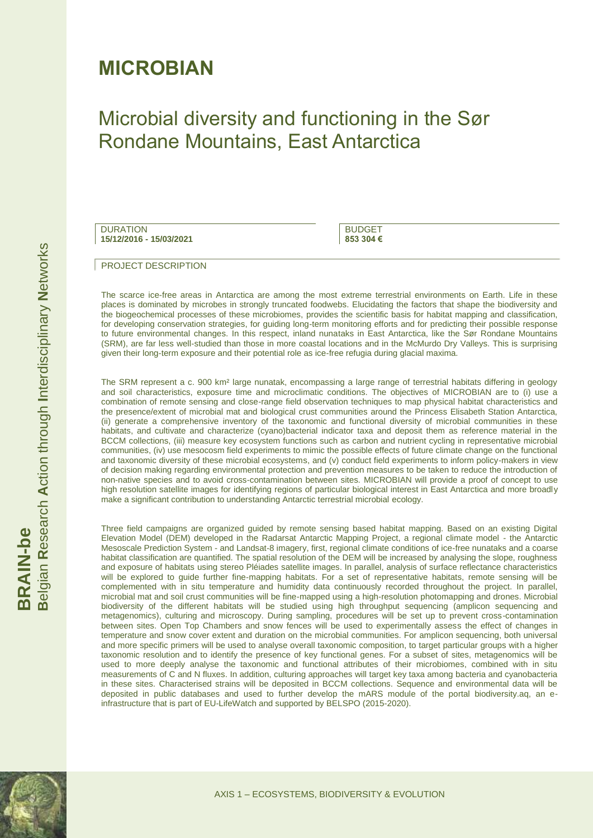## **MICROBIAN**

## Microbial diversity and functioning in the Sør Rondane Mountains, East Antarctica

| <b>DURATION</b>         |  |
|-------------------------|--|
| 15/12/2016 - 15/03/2021 |  |

**BUDGET 853 304 €**

#### PROJECT DESCRIPTION

The scarce ice-free areas in Antarctica are among the most extreme terrestrial environments on Earth. Life in these places is dominated by microbes in strongly truncated foodwebs. Elucidating the factors that shape the biodiversity and the biogeochemical processes of these microbiomes, provides the scientific basis for habitat mapping and classification, for developing conservation strategies, for guiding long-term monitoring efforts and for predicting their possible response to future environmental changes. In this respect, inland nunataks in East Antarctica, like the Sør Rondane Mountains (SRM), are far less well-studied than those in more coastal locations and in the McMurdo Dry Valleys. This is surprising given their long-term exposure and their potential role as ice-free refugia during glacial maxima.

The SRM represent a c. 900 km² large nunatak, encompassing a large range of terrestrial habitats differing in geology and soil characteristics, exposure time and microclimatic conditions. The objectives of MICROBIAN are to (i) use a combination of remote sensing and close-range field observation techniques to map physical habitat characteristics and the presence/extent of microbial mat and biological crust communities around the Princess Elisabeth Station Antarctica, (ii) generate a comprehensive inventory of the taxonomic and functional diversity of microbial communities in these habitats, and cultivate and characterize (cyano)bacterial indicator taxa and deposit them as reference material in the BCCM collections, (iii) measure key ecosystem functions such as carbon and nutrient cycling in representative microbial communities, (iv) use mesocosm field experiments to mimic the possible effects of future climate change on the functional and taxonomic diversity of these microbial ecosystems, and (v) conduct field experiments to inform policy-makers in view of decision making regarding environmental protection and prevention measures to be taken to reduce the introduction of non-native species and to avoid cross-contamination between sites. MICROBIAN will provide a proof of concept to use high resolution satellite images for identifying regions of particular biological interest in East Antarctica and more broadly make a significant contribution to understanding Antarctic terrestrial microbial ecology.

Three field campaigns are organized guided by remote sensing based habitat mapping. Based on an existing Digital Elevation Model (DEM) developed in the Radarsat Antarctic Mapping Project, a regional climate model - the Antarctic Mesoscale Prediction System - and Landsat-8 imagery, first, regional climate conditions of ice-free nunataks and a coarse habitat classification are quantified. The spatial resolution of the DEM will be increased by analysing the slope, roughness and exposure of habitats using stereo Pléiades satellite images. In parallel, analysis of surface reflectance characteristics will be explored to guide further fine-mapping habitats. For a set of representative habitats, remote sensing will be complemented with in situ temperature and humidity data continuously recorded throughout the project. In parallel, microbial mat and soil crust communities will be fine-mapped using a high-resolution photomapping and drones. Microbial biodiversity of the different habitats will be studied using high throughput sequencing (amplicon sequencing and metagenomics), culturing and microscopy. During sampling, procedures will be set up to prevent cross-contamination between sites. Open Top Chambers and snow fences will be used to experimentally assess the effect of changes in temperature and snow cover extent and duration on the microbial communities. For amplicon sequencing, both universal and more specific primers will be used to analyse overall taxonomic composition, to target particular groups with a higher taxonomic resolution and to identify the presence of key functional genes. For a subset of sites, metagenomics will be used to more deeply analyse the taxonomic and functional attributes of their microbiomes, combined with in situ measurements of C and N fluxes. In addition, culturing approaches will target key taxa among bacteria and cyanobacteria in these sites. Characterised strains will be deposited in BCCM collections. Sequence and environmental data will be deposited in public databases and used to further develop the mARS module of the portal biodiversity.aq, an einfrastructure that is part of EU-LifeWatch and supported by BELSPO (2015-2020).